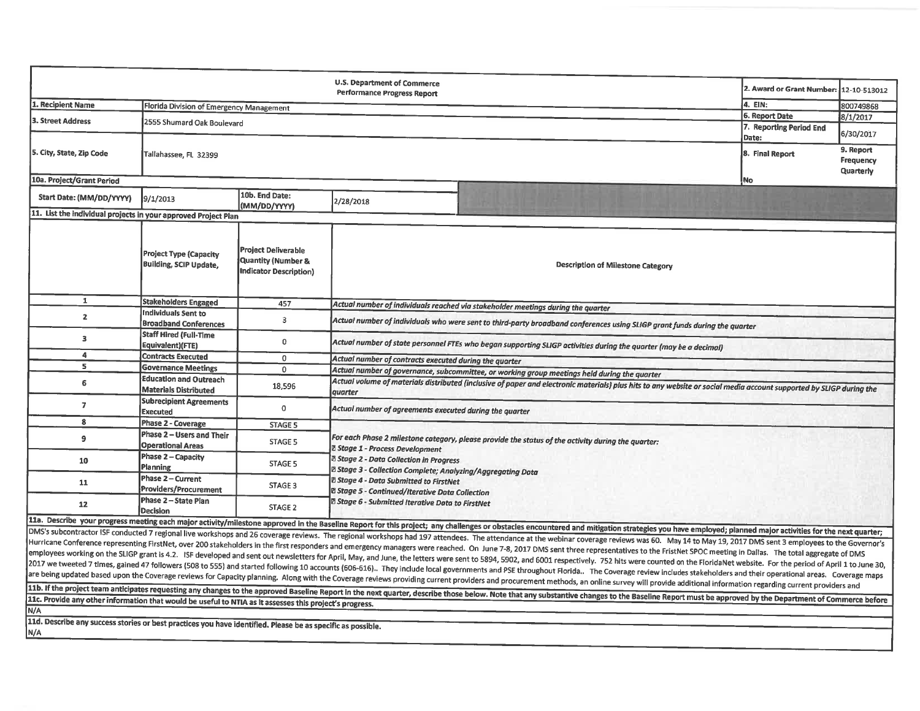|                                                                                                                                                                                                                                                                                                                                                                                                                                                                                                                                                                                                                                                                                                                                                                                                                                                                                                                                                                                                                                                                                                                                                                                                                                                                                                                                                                                                        |                                                                |                                                                                   | U.S. Department of Commerce<br><b>Performance Progress Report</b>                                                                                                                                                                                                                                                                                                                                                                        |                                                                                              | 2. Award or Grant Number: 12-10-513012 |                                            |  |  |
|--------------------------------------------------------------------------------------------------------------------------------------------------------------------------------------------------------------------------------------------------------------------------------------------------------------------------------------------------------------------------------------------------------------------------------------------------------------------------------------------------------------------------------------------------------------------------------------------------------------------------------------------------------------------------------------------------------------------------------------------------------------------------------------------------------------------------------------------------------------------------------------------------------------------------------------------------------------------------------------------------------------------------------------------------------------------------------------------------------------------------------------------------------------------------------------------------------------------------------------------------------------------------------------------------------------------------------------------------------------------------------------------------------|----------------------------------------------------------------|-----------------------------------------------------------------------------------|------------------------------------------------------------------------------------------------------------------------------------------------------------------------------------------------------------------------------------------------------------------------------------------------------------------------------------------------------------------------------------------------------------------------------------------|----------------------------------------------------------------------------------------------|----------------------------------------|--------------------------------------------|--|--|
| 1. Recipient Name                                                                                                                                                                                                                                                                                                                                                                                                                                                                                                                                                                                                                                                                                                                                                                                                                                                                                                                                                                                                                                                                                                                                                                                                                                                                                                                                                                                      | Florida Division of Emergency Management                       |                                                                                   |                                                                                                                                                                                                                                                                                                                                                                                                                                          |                                                                                              | 4. EIN:                                | 800749868                                  |  |  |
| 3. Street Address                                                                                                                                                                                                                                                                                                                                                                                                                                                                                                                                                                                                                                                                                                                                                                                                                                                                                                                                                                                                                                                                                                                                                                                                                                                                                                                                                                                      | 2555 Shumard Oak Boulevard                                     |                                                                                   |                                                                                                                                                                                                                                                                                                                                                                                                                                          |                                                                                              | 6. Report Date                         | 8/1/2017                                   |  |  |
|                                                                                                                                                                                                                                                                                                                                                                                                                                                                                                                                                                                                                                                                                                                                                                                                                                                                                                                                                                                                                                                                                                                                                                                                                                                                                                                                                                                                        |                                                                |                                                                                   |                                                                                                                                                                                                                                                                                                                                                                                                                                          |                                                                                              | 7. Reporting Period End<br>Date:       | 6/30/2017                                  |  |  |
| 5. City, State, Zip Code                                                                                                                                                                                                                                                                                                                                                                                                                                                                                                                                                                                                                                                                                                                                                                                                                                                                                                                                                                                                                                                                                                                                                                                                                                                                                                                                                                               | Tallahassee, FL 32399                                          |                                                                                   |                                                                                                                                                                                                                                                                                                                                                                                                                                          |                                                                                              | 8. Final Report                        | 9. Report<br><b>Frequency</b><br>Quarterly |  |  |
| 10a. Project/Grant Period                                                                                                                                                                                                                                                                                                                                                                                                                                                                                                                                                                                                                                                                                                                                                                                                                                                                                                                                                                                                                                                                                                                                                                                                                                                                                                                                                                              |                                                                |                                                                                   |                                                                                                                                                                                                                                                                                                                                                                                                                                          |                                                                                              | No                                     |                                            |  |  |
| Start Date: (MM/DD/YYYY)                                                                                                                                                                                                                                                                                                                                                                                                                                                                                                                                                                                                                                                                                                                                                                                                                                                                                                                                                                                                                                                                                                                                                                                                                                                                                                                                                                               | 9/1/2013                                                       | 10b. End Date:<br>(MM/DD/YYYY)                                                    | 2/28/2018                                                                                                                                                                                                                                                                                                                                                                                                                                |                                                                                              |                                        |                                            |  |  |
| 11. List the individual projects in your approved Project Plan                                                                                                                                                                                                                                                                                                                                                                                                                                                                                                                                                                                                                                                                                                                                                                                                                                                                                                                                                                                                                                                                                                                                                                                                                                                                                                                                         |                                                                |                                                                                   |                                                                                                                                                                                                                                                                                                                                                                                                                                          |                                                                                              |                                        |                                            |  |  |
|                                                                                                                                                                                                                                                                                                                                                                                                                                                                                                                                                                                                                                                                                                                                                                                                                                                                                                                                                                                                                                                                                                                                                                                                                                                                                                                                                                                                        | <b>Project Type (Capacity</b><br><b>Building, SCIP Update,</b> | <b>Project Deliverable</b><br>Quantity (Number &<br><b>Indicator Description)</b> |                                                                                                                                                                                                                                                                                                                                                                                                                                          | <b>Description of Milestone Category</b>                                                     |                                        |                                            |  |  |
| 1                                                                                                                                                                                                                                                                                                                                                                                                                                                                                                                                                                                                                                                                                                                                                                                                                                                                                                                                                                                                                                                                                                                                                                                                                                                                                                                                                                                                      | <b>Stakeholders Engaged</b>                                    | 457                                                                               |                                                                                                                                                                                                                                                                                                                                                                                                                                          |                                                                                              |                                        |                                            |  |  |
| $\mathbf{z}$                                                                                                                                                                                                                                                                                                                                                                                                                                                                                                                                                                                                                                                                                                                                                                                                                                                                                                                                                                                                                                                                                                                                                                                                                                                                                                                                                                                           | <b>Individuals Sent to</b><br><b>Broadband Conferences</b>     | 3                                                                                 | Actual number of individuals reached via stakeholder meetings during the quarter<br>Actual number of individuals who were sent to third-party broadband conferences using SLIGP grant funds during the quarter                                                                                                                                                                                                                           |                                                                                              |                                        |                                            |  |  |
| 3                                                                                                                                                                                                                                                                                                                                                                                                                                                                                                                                                                                                                                                                                                                                                                                                                                                                                                                                                                                                                                                                                                                                                                                                                                                                                                                                                                                                      | <b>Staff Hired (Full-Time</b><br>Equivalent) (FTE)             | 0                                                                                 | Actual number of state personnel FTEs who began supporting SLIGP activities during the quarter (may be a decimal)                                                                                                                                                                                                                                                                                                                        |                                                                                              |                                        |                                            |  |  |
| 4                                                                                                                                                                                                                                                                                                                                                                                                                                                                                                                                                                                                                                                                                                                                                                                                                                                                                                                                                                                                                                                                                                                                                                                                                                                                                                                                                                                                      | <b>Contracts Executed</b>                                      | $\mathbf 0$                                                                       | Actual number of contracts executed during the quarter                                                                                                                                                                                                                                                                                                                                                                                   |                                                                                              |                                        |                                            |  |  |
| 5                                                                                                                                                                                                                                                                                                                                                                                                                                                                                                                                                                                                                                                                                                                                                                                                                                                                                                                                                                                                                                                                                                                                                                                                                                                                                                                                                                                                      | <b>Governance Meetings</b>                                     | 0                                                                                 |                                                                                                                                                                                                                                                                                                                                                                                                                                          | Actual number of governance, subcommittee, or working group meetings held during the quarter |                                        |                                            |  |  |
| 6                                                                                                                                                                                                                                                                                                                                                                                                                                                                                                                                                                                                                                                                                                                                                                                                                                                                                                                                                                                                                                                                                                                                                                                                                                                                                                                                                                                                      | <b>Education and Outreach</b><br><b>Materials Distributed</b>  | 18,596                                                                            | Actual volume of materials distributed (inclusive of paper and electronic materials) plus hits to any website or social media account supported by SLIGP during the<br>quarter                                                                                                                                                                                                                                                           |                                                                                              |                                        |                                            |  |  |
| $\overline{7}$                                                                                                                                                                                                                                                                                                                                                                                                                                                                                                                                                                                                                                                                                                                                                                                                                                                                                                                                                                                                                                                                                                                                                                                                                                                                                                                                                                                         | <b>Subrecipient Agreements</b><br><b>Executed</b>              | 0                                                                                 | Actual number of agreements executed during the quarter                                                                                                                                                                                                                                                                                                                                                                                  |                                                                                              |                                        |                                            |  |  |
| 8                                                                                                                                                                                                                                                                                                                                                                                                                                                                                                                                                                                                                                                                                                                                                                                                                                                                                                                                                                                                                                                                                                                                                                                                                                                                                                                                                                                                      | Phase 2 - Coverage                                             | <b>STAGE 5</b>                                                                    |                                                                                                                                                                                                                                                                                                                                                                                                                                          |                                                                                              |                                        |                                            |  |  |
| $\overline{9}$                                                                                                                                                                                                                                                                                                                                                                                                                                                                                                                                                                                                                                                                                                                                                                                                                                                                                                                                                                                                                                                                                                                                                                                                                                                                                                                                                                                         | Phase 2 - Users and Their<br><b>Operational Areas</b>          | STAGE 5                                                                           | For each Phase 2 milestone category, please provide the status of the activity during the quarter:<br><b>Z Stage 1 - Process Development</b><br><b>&amp; Stage 2 - Data Collection in Progress</b><br>⊠ Stage 3 - Collection Complete; Analyzing/Aggregating Data<br><b>Z Stage 4 - Data Submitted to FirstNet</b><br><b>28 Stage 5 - Continued/Iterative Data Collection</b><br><b>Z Stage 6 - Submitted Iterative Data to FirstNet</b> |                                                                                              |                                        |                                            |  |  |
| 10                                                                                                                                                                                                                                                                                                                                                                                                                                                                                                                                                                                                                                                                                                                                                                                                                                                                                                                                                                                                                                                                                                                                                                                                                                                                                                                                                                                                     | Phase 2 - Capacity<br>Planning                                 | STAGE 5                                                                           |                                                                                                                                                                                                                                                                                                                                                                                                                                          |                                                                                              |                                        |                                            |  |  |
| 11                                                                                                                                                                                                                                                                                                                                                                                                                                                                                                                                                                                                                                                                                                                                                                                                                                                                                                                                                                                                                                                                                                                                                                                                                                                                                                                                                                                                     | Phase 2 - Current<br>Providers/Procurement                     | STAGE 3                                                                           |                                                                                                                                                                                                                                                                                                                                                                                                                                          |                                                                                              |                                        |                                            |  |  |
| 12                                                                                                                                                                                                                                                                                                                                                                                                                                                                                                                                                                                                                                                                                                                                                                                                                                                                                                                                                                                                                                                                                                                                                                                                                                                                                                                                                                                                     | Phase 2 - State Plan<br><b>Decision</b>                        | STAGE 2                                                                           |                                                                                                                                                                                                                                                                                                                                                                                                                                          |                                                                                              |                                        |                                            |  |  |
|                                                                                                                                                                                                                                                                                                                                                                                                                                                                                                                                                                                                                                                                                                                                                                                                                                                                                                                                                                                                                                                                                                                                                                                                                                                                                                                                                                                                        |                                                                |                                                                                   |                                                                                                                                                                                                                                                                                                                                                                                                                                          |                                                                                              |                                        |                                            |  |  |
| 11a. Describe your progress meeting each major activity/milestone approved in the Baseline Report for this project; any challenges or obstacles encountered and mitigation strategies you have employed; planned major activit<br>DMS's subcontractor ISF conducted 7 regional live workshops and 26 coverage reviews. The regional workshops had 197 attendees. The attendance at the webinar coverage reviews was 60. May 14 to May 19, 2017 DMS sent 3 employ<br>Hurricane Conference representing FirstNet, over 200 stakeholders in the first responders and emergency managers were reached. On June 7-8, 2017 DMS sent three representatives to the FristNet SPOC meeting in Dallas. The to<br>employees working on the SLIGP grant is 4.2. ISF developed and sent out newsletters for April, May, and June, the letters were sent to 5894, 5902, and 6001 respectively. 752 hits were counted on the FloridaNet website. For<br>2017 we tweeted 7 times, gained 47 followers (508 to 555) and started following 10 accounts (606-616) They include local governments and PSE throughout Florida. The Coverage review includes stakeholders and their operati<br>are being updated based upon the Coverage reviews for Capacity planning. Along with the Coverage reviews providing current providers and procurement methods, an online survey will provide additional information regarding c |                                                                |                                                                                   |                                                                                                                                                                                                                                                                                                                                                                                                                                          |                                                                                              |                                        |                                            |  |  |
| 11b. If the project team anticipates requesting any changes to the approved Baseline Report in the next quarter, describe those below. Note that any substantive changes to the Baseline Report must be approved by the Depart                                                                                                                                                                                                                                                                                                                                                                                                                                                                                                                                                                                                                                                                                                                                                                                                                                                                                                                                                                                                                                                                                                                                                                         |                                                                |                                                                                   |                                                                                                                                                                                                                                                                                                                                                                                                                                          |                                                                                              |                                        |                                            |  |  |
| 11c. Provide any other information that would be useful to NTIA as it assesses this project's progress.<br>N/A                                                                                                                                                                                                                                                                                                                                                                                                                                                                                                                                                                                                                                                                                                                                                                                                                                                                                                                                                                                                                                                                                                                                                                                                                                                                                         |                                                                |                                                                                   |                                                                                                                                                                                                                                                                                                                                                                                                                                          |                                                                                              |                                        |                                            |  |  |
| 11d. Describe any success stories or best practices you have identified. Please be as specific as possible.<br>N/A                                                                                                                                                                                                                                                                                                                                                                                                                                                                                                                                                                                                                                                                                                                                                                                                                                                                                                                                                                                                                                                                                                                                                                                                                                                                                     |                                                                |                                                                                   |                                                                                                                                                                                                                                                                                                                                                                                                                                          |                                                                                              |                                        |                                            |  |  |
|                                                                                                                                                                                                                                                                                                                                                                                                                                                                                                                                                                                                                                                                                                                                                                                                                                                                                                                                                                                                                                                                                                                                                                                                                                                                                                                                                                                                        |                                                                |                                                                                   |                                                                                                                                                                                                                                                                                                                                                                                                                                          |                                                                                              |                                        |                                            |  |  |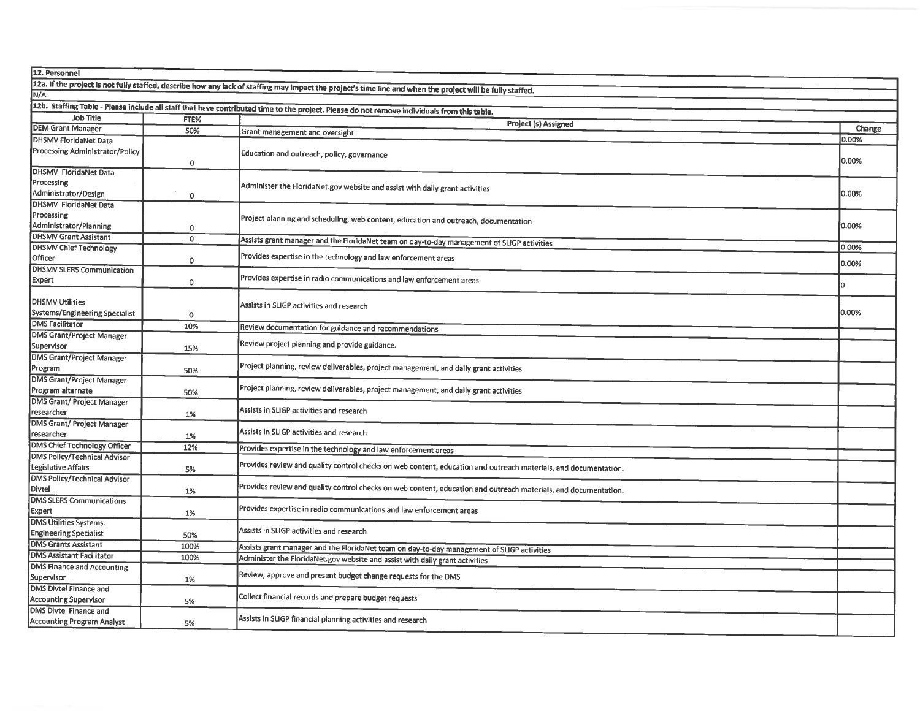| 12. Personnel                                                                    |                |                                                                                                                                                            |        |  |  |  |  |
|----------------------------------------------------------------------------------|----------------|------------------------------------------------------------------------------------------------------------------------------------------------------------|--------|--|--|--|--|
|                                                                                  |                | 12a. If the project is not fully staffed, describe how any lack of staffing may impact the project's time line and when the project will be fully staffed. |        |  |  |  |  |
| N/A                                                                              |                |                                                                                                                                                            |        |  |  |  |  |
|                                                                                  |                | 12b. Staffing Table - Please include all staff that have contributed time to the project. Please do not remove individuals from this table.                |        |  |  |  |  |
| <b>Job Title</b><br>FTE%                                                         |                |                                                                                                                                                            |        |  |  |  |  |
| <b>DEM Grant Manager</b>                                                         | 50%            | Project (s) Assigned<br>Grant management and oversight                                                                                                     | Change |  |  |  |  |
| DHSMV FloridaNet Data                                                            |                |                                                                                                                                                            | 0.00%  |  |  |  |  |
| Processing Administrator/Policy<br>DHSMV FloridaNet Data                         | 0              | Education and outreach, policy, governance                                                                                                                 |        |  |  |  |  |
| Processing<br>Administrator/Design                                               |                | Administer the FloridaNet.gov website and assist with daily grant activities                                                                               |        |  |  |  |  |
| DHSMV FloridaNet Data                                                            | 0              |                                                                                                                                                            | 0.00%  |  |  |  |  |
| Processing                                                                       |                |                                                                                                                                                            |        |  |  |  |  |
| Administrator/Planning                                                           | 0              | Project planning and scheduling, web content, education and outreach, documentation                                                                        |        |  |  |  |  |
| <b>DHSMV Grant Assistant</b>                                                     | $\overline{0}$ | Assists grant manager and the FloridaNet team on day-to-day management of SLIGP activities                                                                 |        |  |  |  |  |
| <b>DHSMV Chief Technology</b>                                                    |                | Provides expertise in the technology and law enforcement areas                                                                                             | 10.00% |  |  |  |  |
| Officer<br><b>DHSMV SLERS Communication</b>                                      | 0              |                                                                                                                                                            | 0.00%  |  |  |  |  |
| Expert                                                                           | 0              | Provides expertise in radio communications and law enforcement areas                                                                                       | l۵     |  |  |  |  |
| <b>DHSMV Utilities</b><br>Systems/Engineering Specialist                         | $\circ$        | Assists in SLIGP activities and research                                                                                                                   | 0.00%  |  |  |  |  |
| <b>DMS Facilitator</b>                                                           | 10%            | Review documentation for guidance and recommendations                                                                                                      |        |  |  |  |  |
| <b>DMS Grant/Project Manager</b><br>Supervisor                                   | 15%            | Review project planning and provide guidance.                                                                                                              |        |  |  |  |  |
| <b>DMS Grant/Project Manager</b><br>Program                                      | 50%            | Project planning, review deliverables, project management, and daily grant activities                                                                      |        |  |  |  |  |
| <b>DMS Grant/Project Manager</b><br>Program alternate                            | 50%            | Project planning, review deliverables, project management, and daily grant activities                                                                      |        |  |  |  |  |
| <b>DMS Grant/ Project Manager</b><br>researcher                                  | 1%             | Assists in SLIGP activities and research                                                                                                                   |        |  |  |  |  |
| DMS Grant/ Project Manager<br>researcher                                         | 1%             | Assists in SLIGP activities and research                                                                                                                   |        |  |  |  |  |
| DMS Chief Technology Officer                                                     | 12%            | Provides expertise in the technology and law enforcement areas                                                                                             |        |  |  |  |  |
| <b>DMS Policy/Technical Advisor</b><br>Legislative Affairs                       | 5%             | Provides review and quality control checks on web content, education and outreach materials, and documentation.                                            |        |  |  |  |  |
| <b>DMS Policy/Technical Advisor</b><br>Divtel<br><b>DMS SLERS Communications</b> | 1%             | Provides review and quality control checks on web content, education and outreach materials, and documentation.                                            |        |  |  |  |  |
| <b>Expert</b>                                                                    | 1%             | Provides expertise in radio communications and law enforcement areas                                                                                       |        |  |  |  |  |
| <b>DMS Utilities Systems.</b><br><b>Engineering Specialist</b>                   | 50%            | Assists in SLIGP activities and research                                                                                                                   |        |  |  |  |  |
| <b>DMS Grants Assistant</b>                                                      | 100%           | Assists grant manager and the FloridaNet team on day-to-day management of SLIGP activities                                                                 |        |  |  |  |  |
| <b>DMS Assistant Facilitator</b>                                                 | 100%           | Administer the FloridaNet.gov website and assist with daily grant activities                                                                               |        |  |  |  |  |
| <b>DMS Finance and Accounting</b><br>Supervisor                                  | 1%             | Review, approve and present budget change requests for the DMS                                                                                             |        |  |  |  |  |
| DMS Divtel Finance and<br><b>Accounting Supervisor</b>                           | 5%             | Collect financial records and prepare budget requests                                                                                                      |        |  |  |  |  |
| <b>DMS Divtel Finance and</b><br><b>Accounting Program Analyst</b>               | 5%             | Assists in SLIGP financial planning activities and research                                                                                                |        |  |  |  |  |